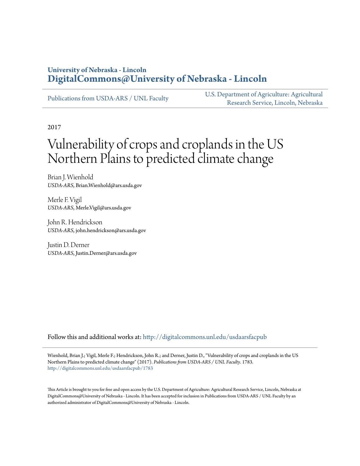# **University of Nebraska - Lincoln [DigitalCommons@University of Nebraska - Lincoln](http://digitalcommons.unl.edu?utm_source=digitalcommons.unl.edu%2Fusdaarsfacpub%2F1783&utm_medium=PDF&utm_campaign=PDFCoverPages)**

[Publications from USDA-ARS / UNL Faculty](http://digitalcommons.unl.edu/usdaarsfacpub?utm_source=digitalcommons.unl.edu%2Fusdaarsfacpub%2F1783&utm_medium=PDF&utm_campaign=PDFCoverPages)

[U.S. Department of Agriculture: Agricultural](http://digitalcommons.unl.edu/usdaars?utm_source=digitalcommons.unl.edu%2Fusdaarsfacpub%2F1783&utm_medium=PDF&utm_campaign=PDFCoverPages) [Research Service, Lincoln, Nebraska](http://digitalcommons.unl.edu/usdaars?utm_source=digitalcommons.unl.edu%2Fusdaarsfacpub%2F1783&utm_medium=PDF&utm_campaign=PDFCoverPages)

2017

# Vulnerability of crops and croplands in the US Northern Plains to predicted climate change

Brian J. Wienhold *USDA-ARS*, Brian.Wienhold@ars.usda.gov

Merle F. Vigil *USDA-ARS*, Merle.Vigil@ars.usda.gov

John R. Hendrickson *USDA-ARS*, john.hendrickson@ars.usda.gov

Justin D. Derner *USDA-ARS*, Justin.Derner@ars.usda.gov

Follow this and additional works at: [http://digitalcommons.unl.edu/usdaarsfacpub](http://digitalcommons.unl.edu/usdaarsfacpub?utm_source=digitalcommons.unl.edu%2Fusdaarsfacpub%2F1783&utm_medium=PDF&utm_campaign=PDFCoverPages)

Wienhold, Brian J.; Vigil, Merle F.; Hendrickson, John R.; and Derner, Justin D., "Vulnerability of crops and croplands in the US Northern Plains to predicted climate change" (2017). *Publications from USDA-ARS / UNL Faculty*. 1783. [http://digitalcommons.unl.edu/usdaarsfacpub/1783](http://digitalcommons.unl.edu/usdaarsfacpub/1783?utm_source=digitalcommons.unl.edu%2Fusdaarsfacpub%2F1783&utm_medium=PDF&utm_campaign=PDFCoverPages)

This Article is brought to you for free and open access by the U.S. Department of Agriculture: Agricultural Research Service, Lincoln, Nebraska at DigitalCommons@University of Nebraska - Lincoln. It has been accepted for inclusion in Publications from USDA-ARS / UNL Faculty by an authorized administrator of DigitalCommons@University of Nebraska - Lincoln.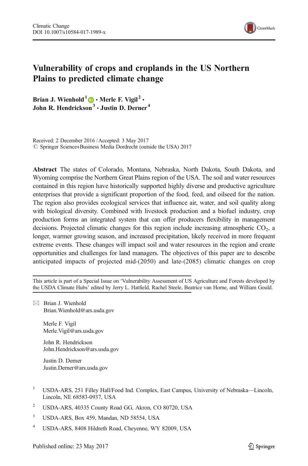

# Vulnerability of crops and croplands in the US Northern Plains to predicted climate change

Brian J. Wienhold<sup>1</sup>  $\bigcirc$  · Merle F. Vigil<sup>2</sup> • John R. Hendrickson $3 \cdot$  Justin D. Derner  $4$ 

Received: 2 December 2016 /Accepted: 3 May 2017  $\circledcirc$  Springer Science+Business Media Dordrecht (outside the USA) 2017

Abstract The states of Colorado, Montana, Nebraska, North Dakota, South Dakota, and Wyoming comprise the Northern Great Plains region of the USA. The soil and water resources contained in this region have historically supported highly diverse and productive agriculture enterprises that provide a significant proportion of the food, feed, and oilseed for the nation. The region also provides ecological services that influence air, water, and soil quality along with biological diversity. Combined with livestock production and a biofuel industry, crop production forms an integrated system that can offer producers flexibility in management decisions. Projected climatic changes for this region include increasing atmospheric CO<sub>2</sub>, a longer, warmer growing season, and increased precipitation, likely received in more frequent extreme events. These changes will impact soil and water resources in the region and create opportunities and challenges for land managers. The objectives of this paper are to describe anticipated impacts of projected mid-(2050) and late-(2085) climatic changes on crop

This article is part of a Special Issue on 'Vulnerability Assessment of US Agriculture and Forests developed by the USDA Climate Hubs' edited by Jerry L. Hatfield, Rachel Steele, Beatrice van Horne, and William Gould.

 $\boxtimes$  Brian J. Wienhold Brian.Wienhold@ars.usda.gov

> Merle F. Vigil Merle.Vigil@ars.usda.gov

John R. Hendrickson John.Hendrickson@ars.usda.gov

Justin D. Derner Justin.Derner@ars.usda.gov

- <sup>1</sup> USDA-ARS, 251 Filley Hall/Food Ind. Complex, East Campus, University of Nebraska—Lincoln, Lincoln, NE 68583-0937, USA
- <sup>2</sup> USDA-ARS, 40335 County Road GG, Akron, CO 80720, USA
- <sup>3</sup> USDA-ARS, Box 459, Mandan, ND 58554, USA
- <sup>4</sup> USDA-ARS, 8408 Hildreth Road, Cheyenne, WY 82009, USA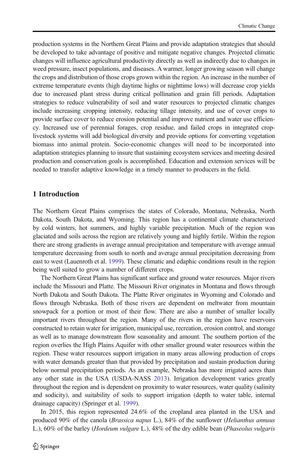production systems in the Northern Great Plains and provide adaptation strategies that should be developed to take advantage of positive and mitigate negative changes. Projected climatic changes will influence agricultural productivity directly as well as indirectly due to changes in weed pressure, insect populations, and diseases. A warmer, longer growing season will change the crops and distribution of those crops grown within the region. An increase in the number of extreme temperature events (high daytime highs or nighttime lows) will decrease crop yields due to increased plant stress during critical pollination and grain fill periods. Adaptation strategies to reduce vulnerability of soil and water resources to projected climatic changes include increasing cropping intensity, reducing tillage intensity, and use of cover crops to provide surface cover to reduce erosion potential and improve nutrient and water use efficiency. Increased use of perennial forages, crop residue, and failed crops in integrated croplivestock systems will add biological diversity and provide options for converting vegetation biomass into animal protein. Socio-economic changes will need to be incorporated into adaptation strategies planning to insure that sustaining ecosystem services and meeting desired production and conservation goals is accomplished. Education and extension services will be needed to transfer adaptive knowledge in a timely manner to producers in the field.

#### 1 Introduction

The Northern Great Plains comprises the states of Colorado, Montana, Nebraska, North Dakota, South Dakota, and Wyoming. This region has a continental climate characterized by cold winters, hot summers, and highly variable precipitation. Much of the region was glaciated and soils across the region are relatively young and highly fertile. Within the region there are strong gradients in average annual precipitation and temperature with average annual temperature decreasing from south to north and average annual precipitation decreasing from east to west (Lauenroth et al. [1999](#page-10-0)). These climatic and edaphic conditions result in the region being well suited to grow a number of different crops.

The Northern Great Plains has significant surface and ground water resources. Major rivers include the Missouri and Platte. The Missouri River originates in Montana and flows through North Dakota and South Dakota. The Platte River originates in Wyoming and Colorado and flows through Nebraska. Both of these rivers are dependent on meltwater from mountain snowpack for a portion or most of their flow. There are also a number of smaller locally important rivers throughout the region. Many of the rivers in the region have reservoirs constructed to retain water for irrigation, municipal use, recreation, erosion control, and storage as well as to manage downstream flow seasonality and amount. The southern portion of the region overlies the High Plains Aquifer with other smaller ground water resources within the region. These water resources support irrigation in many areas allowing production of crops with water demands greater than that provided by precipitation and sustain production during below normal precipitation periods. As an example, Nebraska has more irrigated acres than any other state in the USA (USDA-NASS [2013\)](#page-11-0). Irrigation development varies greatly throughout the region and is dependent on proximity to water resources, water quality (salinity and sodicity), and suitability of soils to support irrigation (depth to water table, internal drainage capacity) (Springer et al. [1999\)](#page-11-0).

In 2015, this region represented 24.6% of the cropland area planted in the USA and produced 90% of the canola (Brassica napus L.), 84% of the sunflower (Helianthus annuus L.), 60% of the barley (Hordeum vulgare L.), 48% of the dry edible bean (Phaseolus vulgaris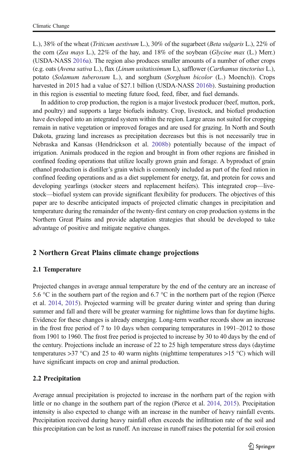L.), 38% of the wheat (*Triticum aestivum* L.), 30% of the sugarbeet (*Beta vulgaris* L.), 22% of the corn (Zea mays L.), 22% of the hay, and  $18\%$  of the soybean (Glycine max (L.) Merr.) (USDA-NASS [2016a\)](#page-11-0). The region also produces smaller amounts of a number of other crops (e.g. oats (Avena sativa L.), flax (Linum usitatissimum L), safflower (Carthamus tinctorius L.), potato (Solamum tuberosum L.), and sorghum (Sorghum bicolor (L.) Moench)). Crops harvested in 2015 had a value of \$27.1 billion (USDA-NASS [2016b](#page-11-0)). Sustaining production in this region is essential to meeting future food, feed, fiber, and fuel demands.

In addition to crop production, the region is a major livestock producer (beef, mutton, pork, and poultry) and supports a large biofuels industry. Crop, livestock, and biofuel production have developed into an integrated system within the region. Large areas not suited for cropping remain in native vegetation or improved forages and are used for grazing. In North and South Dakota, grazing land increases as precipitation decreases but this is not necessarily true in Nebraska and Kansas (Hendrickson et al. [2008b](#page-10-0)) potentially because of the impact of irrigation. Animals produced in the region and brought in from other regions are finished in confined feeding operations that utilize locally grown grain and forage. A byproduct of grain ethanol production is distiller's grain which is commonly included as part of the feed ration in confined feeding operations and as a diet supplement for energy, fat, and protein for cows and developing yearlings (stocker steers and replacement heifers). This integrated crop—livestock—biofuel system can provide significant flexibility for producers. The objectives of this paper are to describe anticipated impacts of projected climatic changes in precipitation and temperature during the remainder of the twenty-first century on crop production systems in the Northern Great Plains and provide adaptation strategies that should be developed to take advantage of positive and mitigate negative changes.

# 2 Northern Great Plains climate change projections

# 2.1 Temperature

Projected changes in average annual temperature by the end of the century are an increase of 5.6 °C in the southern part of the region and 6.7 °C in the northern part of the region (Pierce et al. [2014](#page-11-0), [2015\)](#page-11-0). Projected warming will be greater during winter and spring than during summer and fall and there will be greater warming for nighttime lows than for daytime highs. Evidence for these changes is already emerging. Long-term weather records show an increase in the frost free period of 7 to 10 days when comparing temperatures in 1991–2012 to those from 1901 to 1960. The frost free period is projected to increase by 30 to 40 days by the end of the century. Projections include an increase of 22 to 25 high temperature stress days (daytime temperatures  $>37$  °C) and 25 to 40 warm nights (nighttime temperatures  $>15$  °C) which will have significant impacts on crop and animal production.

# 2.2 Precipitation

Average annual precipitation is projected to increase in the northern part of the region with little or no change in the southern part of the region (Pierce et al. [2014,](#page-11-0) [2015\)](#page-11-0). Precipitation intensity is also expected to change with an increase in the number of heavy rainfall events. Precipitation received during heavy rainfall often exceeds the infiltration rate of the soil and this precipitation can be lost as runoff. An increase in runoff raises the potential for soil erosion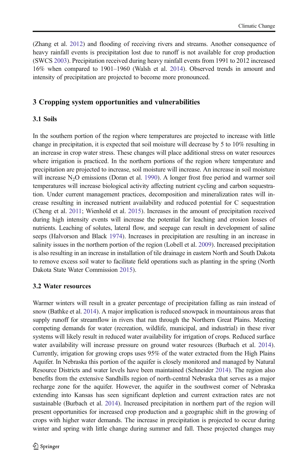(Zhang et al. [2012](#page-12-0)) and flooding of receiving rivers and streams. Another consequence of heavy rainfall events is precipitation lost due to runoff is not available for crop production (SWCS [2003\)](#page-11-0). Precipitation received during heavy rainfall events from 1991 to 2012 increased 16% when compared to 1901–1960 (Walsh et al. [2014](#page-11-0)). Observed trends in amount and intensity of precipitation are projected to become more pronounced.

### 3 Cropping system opportunities and vulnerabilities

#### 3.1 Soils

In the southern portion of the region where temperatures are projected to increase with little change in precipitation, it is expected that soil moisture will decrease by 5 to 10% resulting in an increase in crop water stress. These changes will place additional stress on water resources where irrigation is practiced. In the northern portions of the region where temperature and precipitation are projected to increase, soil moisture will increase. An increase in soil moisture will increase  $N_2O$  emissions (Doran et al. [1990\)](#page-10-0). A longer frost free period and warmer soil temperatures will increase biological activity affecting nutrient cycling and carbon sequestration. Under current management practices, decomposition and mineralization rates will increase resulting in increased nutrient availability and reduced potential for C sequestration (Cheng et al. [2011;](#page-10-0) Wienhold et al. [2015](#page-12-0)). Increases in the amount of precipitation received during high intensity events will increase the potential for leaching and erosion losses of nutrients. Leaching of solutes, lateral flow, and seepage can result in development of saline seeps (Halvorson and Black [1974\)](#page-10-0). Increases in precipitation are resulting in an increase in salinity issues in the northern portion of the region (Lobell et al. [2009\)](#page-10-0). Increased precipitation is also resulting in an increase in installation of tile drainage in eastern North and South Dakota to remove excess soil water to facilitate field operations such as planting in the spring (North Dakota State Water Commission [2015](#page-11-0)).

#### 3.2 Water resources

Warmer winters will result in a greater percentage of precipitation falling as rain instead of snow (Bathke et al. [2014\)](#page-9-0). A major implication is reduced snowpack in mountainous areas that supply runoff for streamflow in rivers that run through the Northern Great Plains. Meeting competing demands for water (recreation, wildlife, municipal, and industrial) in these river systems will likely result in reduced water availability for irrigation of crops. Reduced surface water availability will increase pressure on ground water resources (Burbach et al. [2014](#page-9-0)). Currently, irrigation for growing crops uses 95% of the water extracted from the High Plains Aquifer. In Nebraska this portion of the aquifer is closely monitored and managed by Natural Resource Districts and water levels have been maintained (Schneider [2014](#page-11-0)). The region also benefits from the extensive Sandhills region of north-central Nebraska that serves as a major recharge zone for the aquifer. However, the aquifer in the southwest corner of Nebraska extending into Kansas has seen significant depletion and current extraction rates are not sustainable (Burbach et al. [2014](#page-9-0)). Increased precipitation in northern part of the region will present opportunities for increased crop production and a geographic shift in the growing of crops with higher water demands. The increase in precipitation is projected to occur during winter and spring with little change during summer and fall. These projected changes may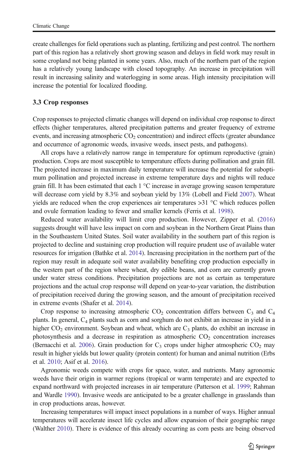create challenges for field operations such as planting, fertilizing and pest control. The northern part of this region has a relatively short growing season and delays in field work may result in some cropland not being planted in some years. Also, much of the northern part of the region has a relatively young landscape with closed topography. An increase in precipitation will result in increasing salinity and waterlogging in some areas. High intensity precipitation will increase the potential for localized flooding.

#### 3.3 Crop responses

Crop responses to projected climatic changes will depend on individual crop response to direct effects (higher temperatures, altered precipitation patterns and greater frequency of extreme events, and increasing atmospheric  $CO<sub>2</sub>$  concentration) and indirect effects (greater abundance and occurrence of agronomic weeds, invasive weeds, insect pests, and pathogens).

All crops have a relatively narrow range in temperature for optimum reproductive (grain) production. Crops are most susceptible to temperature effects during pollination and grain fill. The projected increase in maximum daily temperature will increase the potential for suboptimum pollination and projected increase in extreme temperature days and nights will reduce grain fill. It has been estimated that each  $1 \degree C$  increase in average growing season temperature will decrease corn yield by 8.3% and soybean yield by 13% (Lobell and Field [2007](#page-10-0)). Wheat yields are reduced when the crop experiences air temperatures >31 °C which reduces pollen and ovule formation leading to fewer and smaller kernels (Ferris et al. [1998](#page-10-0)).

Reduced water availability will limit crop production. However, Zipper et al. ([2016\)](#page-12-0) suggests drought will have less impact on corn and soybean in the Northern Great Plains than in the Southeastern United States. Soil water availability in the southern part of this region is projected to decline and sustaining crop production will require prudent use of available water resources for irrigation (Bathke et al. [2014](#page-9-0)). Increasing precipitation in the northern part of the region may result in adequate soil water availability benefiting crop production especially in the western part of the region where wheat, dry edible beans, and corn are currently grown under water stress conditions. Precipitation projections are not as certain as temperature projections and the actual crop response will depend on year-to-year variation, the distribution of precipitation received during the growing season, and the amount of precipitation received in extreme events (Shafer et al. [2014](#page-11-0)).

Crop response to increasing atmospheric  $CO<sub>2</sub>$  concentration differs between  $C<sub>3</sub>$  and  $C<sub>4</sub>$ plants. In general,  $C_4$  plants such as corn and sorghum do not exhibit an increase in yield in a higher  $CO<sub>2</sub>$  environment. Soybean and wheat, which are  $C<sub>3</sub>$  plants, do exhibit an increase in photosynthesis and a decrease in respiration as atmospheric  $CO<sub>2</sub>$  concentration increases (Bernacchi et al. [2006\)](#page-9-0). Grain production for  $C_3$  crops under higher atmospheric  $CO_2$  may result in higher yields but lower quality (protein content) for human and animal nutrition (Erbs et al. [2010](#page-10-0); Asif et al. [2016](#page-9-0)).

Agronomic weeds compete with crops for space, water, and nutrients. Many agronomic weeds have their origin in warmer regions (tropical or warm temperate) and are expected to expand northward with projected increases in air temperature (Patterson et al. [1999](#page-11-0); Rahman and Wardle [1990](#page-11-0)). Invasive weeds are anticipated to be a greater challenge in grasslands than in crop productions areas, however.

Increasing temperatures will impact insect populations in a number of ways. Higher annual temperatures will accelerate insect life cycles and allow expansion of their geographic range (Walther [2010\)](#page-12-0). There is evidence of this already occurring as corn pests are being observed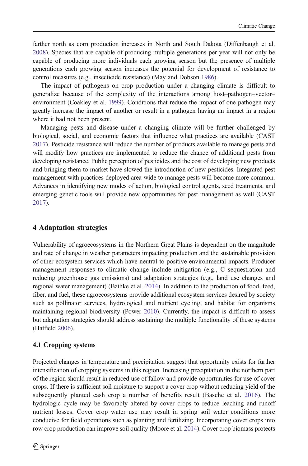farther north as corn production increases in North and South Dakota (Diffenbaugh et al. [2008](#page-10-0)). Species that are capable of producing multiple generations per year will not only be capable of producing more individuals each growing season but the presence of multiple generations each growing season increases the potential for development of resistance to control measures (e.g., insecticide resistance) (May and Dobson [1986\)](#page-11-0).

The impact of pathogens on crop production under a changing climate is difficult to generalize because of the complexity of the interactions among host–pathogen–vector– environment (Coakley et al. [1999](#page-10-0)). Conditions that reduce the impact of one pathogen may greatly increase the impact of another or result in a pathogen having an impact in a region where it had not been present.

Managing pests and disease under a changing climate will be further challenged by biological, social, and economic factors that influence what practices are available (CAST [2017](#page-10-0)). Pesticide resistance will reduce the number of products available to manage pests and will modify how practices are implemented to reduce the chance of additional pests from developing resistance. Public perception of pesticides and the cost of developing new products and bringing them to market have slowed the introduction of new pesticides. Integrated pest management with practices deployed area-wide to manage pests will become more common. Advances in identifying new modes of action, biological control agents, seed treatments, and emerging genetic tools will provide new opportunities for pest management as well (CAST [2017](#page-10-0)).

#### 4 Adaptation strategies

Vulnerability of agroecosystems in the Northern Great Plains is dependent on the magnitude and rate of change in weather parameters impacting production and the sustainable provision of other ecosystem services which have neutral to positive environmental impacts. Producer management responses to climatic change include mitigation (e.g., C sequestration and reducing greenhouse gas emissions) and adaptation strategies (e.g., land use changes and regional water management) (Bathke et al. [2014\)](#page-9-0). In addition to the production of food, feed, fiber, and fuel, these agroecosystems provide additional ecosystem services desired by society such as pollinator services, hydrological and nutrient cycling, and habitat for organisms maintaining regional biodiversity (Power [2010\)](#page-11-0). Currently, the impact is difficult to assess but adaptation strategies should address sustaining the multiple functionality of these systems (Hatfield [2006\)](#page-10-0).

#### 4.1 Cropping systems

Projected changes in temperature and precipitation suggest that opportunity exists for further intensification of cropping systems in this region. Increasing precipitation in the northern part of the region should result in reduced use of fallow and provide opportunities for use of cover crops. If there is sufficient soil moisture to support a cover crop without reducing yield of the subsequently planted cash crop a number of benefits result (Basche et al. [2016](#page-9-0)). The hydrologic cycle may be favorably altered by cover crops to reduce leaching and runoff nutrient losses. Cover crop water use may result in spring soil water conditions more conducive for field operations such as planting and fertilizing. Incorporating cover crops into row crop production can improve soil quality (Moore et al. [2014](#page-11-0)). Cover crop biomass protects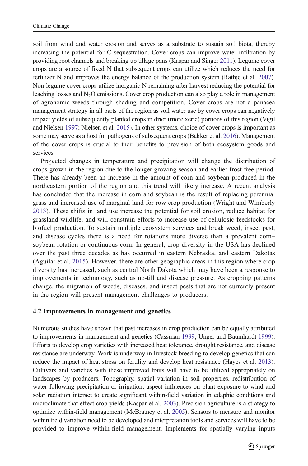soil from wind and water erosion and serves as a substrate to sustain soil biota, thereby increasing the potential for C sequestration. Cover crops can improve water infiltration by providing root channels and breaking up tillage pans (Kaspar and Singer [2011](#page-10-0)). Legume cover crops are a source of fixed N that subsequent crops can utilize which reduces the need for fertilizer N and improves the energy balance of the production system (Rathje et al. [2007](#page-11-0)). Non-legume cover crops utilize inorganic N remaining after harvest reducing the potential for leaching losses and  $N_2O$  emissions. Cover crop production can also play a role in management of agronomic weeds through shading and competition. Cover crops are not a panacea management strategy in all parts of the region as soil water use by cover crops can negatively impact yields of subsequently planted crops in drier (more xeric) portions of this region (Vigil and Nielsen [1997](#page-11-0); Nielsen et al. [2015](#page-11-0)). In other systems, choice of cover crops is important as some may serve as a host for pathogens of subsequent crops (Bakker et al. [2016](#page-9-0)). Management of the cover crops is crucial to their benefits to provision of both ecosystem goods and services.

Projected changes in temperature and precipitation will change the distribution of crops grown in the region due to the longer growing season and earlier frost free period. There has already been an increase in the amount of corn and soybean produced in the northeastern portion of the region and this trend will likely increase. A recent analysis has concluded that the increase in corn and soybean is the result of replacing perennial grass and increased use of marginal land for row crop production (Wright and Wimberly [2013](#page-12-0)). These shifts in land use increase the potential for soil erosion, reduce habitat for grassland wildlife, and will constrain efforts to increase use of cellulosic feedstocks for biofuel production. To sustain multiple ecosystem services and break weed, insect pest, and disease cycles there is a need for rotations more diverse than a prevalent corn– soybean rotation or continuous corn. In general, crop diversity in the USA has declined over the past three decades as has occurred in eastern Nebraska, and eastern Dakotas (Aguilar et al. [2015\)](#page-9-0). However, there are other geographic areas in this region where crop diversity has increased, such as central North Dakota which may have been a response to improvements in technology, such as no-till and disease pressure. As cropping patterns change, the migration of weeds, diseases, and insect pests that are not currently present in the region will present management challenges to producers.

#### 4.2 Improvements in management and genetics

Numerous studies have shown that past increases in crop production can be equally attributed to improvements in management and genetics (Cassman [1999;](#page-10-0) Unger and Baumhardt [1999](#page-11-0)). Efforts to develop crop varieties with increased heat tolerance, drought resistance, and disease resistance are underway. Work is underway in livestock breeding to develop genetics that can reduce the impact of heat stress on fertility and develop heat resistance (Hayes et al. [2013](#page-10-0)). Cultivars and varieties with these improved traits will have to be utilized appropriately on landscapes by producers. Topography, spatial variation in soil properties, redistribution of water following precipitation or irrigation, aspect influences on plant exposure to wind and solar radiation interact to create significant within-field variation in edaphic conditions and microclimate that effect crop yields (Kaspar et al. [2003\)](#page-10-0). Precision agriculture is a strategy to optimize within-field management (McBratney et al. [2005](#page-11-0)). Sensors to measure and monitor within field variation need to be developed and interpretation tools and services will have to be provided to improve within-field management. Implements for spatially varying inputs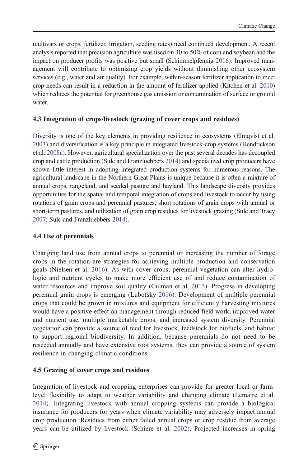(cultivars or crops, fertilizer, irrigation, seeding rates) need continued development. A recent analysis reported that precision agriculture was used on 30 to 50% of corn and soybean and the impact on producer profits was positive but small (Schimmelpfennig [2016](#page-11-0)). Improved management will contribute to optimizing crop yields without diminishing other ecosystem services (e.g., water and air quality). For example, within-season fertilizer application to meet crop needs can result in a reduction in the amount of fertilizer applied (Kitchen et al. [2010\)](#page-10-0) which reduces the potential for greenhouse gas emission or contamination of surface or ground water.

# 4.3 Integration of crops/livestock (grazing of cover crops and residues)

Diversity is one of the key elements in providing resilience in ecosystems (Elmqvist et al. [2003](#page-10-0)) and diversification is a key principle in integrated livestock-crop systems (Hendrickson et al. [2008a](#page-10-0)). However, agricultural specialization over the past several decades has decoupled crop and cattle production (Sulc and Franzluebbers [2014\)](#page-11-0) and specialized crop producers have shown little interest in adopting integrated production systems for numerous reasons. The agricultural landscape in the Northern Great Plains is unique because it is often a mixture of annual crops, rangeland, and seeded pasture and hayland. This landscape diversity provides opportunities for the spatial and temporal integration of crops and livestock to occur by using rotations of grain crops and perennial pastures, short rotations of grain crops with annual or short-term pastures, and utilization of grain crop residues for livestock grazing (Sulc and Tracy [2007](#page-11-0); Sulc and Franzluebbers [2014\)](#page-11-0).

# 4.4 Use of perennials

Changing land use from annual crops to perennial or increasing the number of forage crops in the rotation are strategies for achieving multiple production and conservation goals (Nielsen et al. [2016\)](#page-11-0). As with cover crops, perennial vegetation can alter hydrologic and nutrient cycles to make more efficient use of and reduce contamination of water resources and improve soil quality (Culman et al. [2013\)](#page-10-0). Progress in developing perennial grain crops is emerging (Lubofsky [2016\)](#page-11-0). Development of multiple perennial crops that could be grown in mixtures and equipment for efficiently harvesting mixtures would have a positive effect on management through reduced field work, improved water and nutrient use, multiple marketable crops, and increased system diversity. Perennial vegetation can provide a source of feed for livestock, feedstock for biofuels, and habitat to support regional biodiversity. In addition, because perennials do not need to be reseeded annually and have extensive root systems, they can provide a source of system resilience in changing climatic conditions.

# 4.5 Grazing of cover crops and residues

Integration of livestock and cropping enterprises can provide for greater local or farmlevel flexibility to adapt to weather variability and changing climate (Lemaire et al. [2014](#page-10-0)). Integrating livestock with annual cropping systems can provide a biological insurance for producers for years when climate variability may adversely impact annual crop production. Residues from either failed annual crops or crop residue from average years can be utilized by livestock (Schiere et al. [2002\)](#page-11-0). Projected increases in spring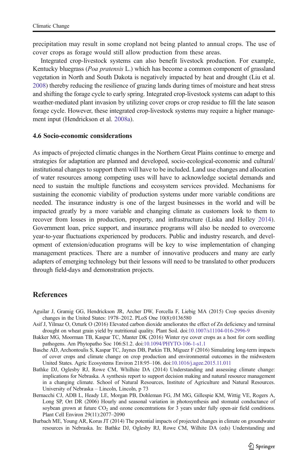<span id="page-9-0"></span>precipitation may result in some cropland not being planted to annual crops. The use of cover crops as forage would still allow production from these areas.

Integrated crop-livestock systems can also benefit livestock production. For example, Kentucky bluegrass (Poa pratensis L.) which has become a common component of grassland vegetation in North and South Dakota is negatively impacted by heat and drought (Liu et al. [2008](#page-10-0)) thereby reducing the resilience of grazing lands during times of moisture and heat stress and shifting the forage cycle to early spring. Integrated crop-livestock systems can adapt to this weather-mediated plant invasion by utilizing cover crops or crop residue to fill the late season forage cycle. However, these integrated crop-livestock systems may require a higher management input (Hendrickson et al. [2008a\)](#page-10-0).

#### 4.6 Socio-economic considerations

As impacts of projected climatic changes in the Northern Great Plains continue to emerge and strategies for adaptation are planned and developed, socio-ecological-economic and cultural/ institutional changes to support them will have to be included. Land use changes and allocation of water resources among competing uses will have to acknowledge societal demands and need to sustain the multiple functions and ecosystem services provided. Mechanisms for sustaining the economic viability of production systems under more variable conditions are needed. The insurance industry is one of the largest businesses in the world and will be impacted greatly by a more variable and changing climate as customers look to them to recover from losses in production, property, and infrastructure (Liska and Holley [2014](#page-10-0)). Government loan, price support, and insurance programs will also be needed to overcome year-to-year fluctuations experienced by producers. Public and industry research, and development of extension/education programs will be key to wise implementation of changing management practices. There are a number of innovative producers and many are early adapters of emerging technology but their lessons will need to be translated to other producers through field-days and demonstration projects.

#### **References**

- Aguilar J, Gramig GG, Hendrickson JR, Archer DW, Forcella F, Liebig MA (2015) Crop species diversity changes in the United States: 1978–2012. PLoS One 10(8):0136580
- Asif J, Yilmaz O, Ozturk O (2016) Elevated carbon dioxide ameliorates the effect of Zn deficiency and terminal drought on wheat grain yield by nutritional quality. Plant Soil. doi[:10.1007/s11104-016-2996-9](http://dx.doi.org/10.1007/s11104-016-2996-9)
- Bakker MG, Moorman TB, Kaspar TC, Manter DK (2016) Winter rye cover crops as a host for corn seedling pathogens. Am Phytopatho Soc 106:S1.2. doi[:10.1094/PHYTO-106-1-s1.1](http://dx.doi.org/10.1094/PHYTO-106-1-s1.1)
- Basche AD, Archontoulis S, Kaspar TC, Jaynes DB, Parkin TB, Miguez F (2016) Simulating long-term impacts of cover crops and climate change on crop production and environmental outcomes in the midwestern United States. Agric Ecosystems Environ 218:95–106. doi[:10.1016/j.agee.2015.11.011](http://dx.doi.org/10.1016/j.agee.2015.11.011)
- Bathke DJ, Oglesby RJ, Rowe CM, Whilhite DA (2014) Understanding and assessing climate change: implications for Nebraska. A synthesis report to support decision making and natural resource management in a changing climate. School of Natural Resources, Institute of Agriculture and Natural Resources. University of Nebraska – Lincoln, Lincoln, p 73
- Bernacchi CJ, ADB L, Heady LE, Morgan PB, Dohleman FG, JM MG, Gillespie KM, Wittig VE, Rogers A, Long SP, Ort DR (2006) Hourly and seasonal variation in photosynthesis and stomatal conductance of soybean grown at future  $CO<sub>2</sub>$  and ozone concentrations for 3 years under fully open-air field conditions. Plant Cell Environ 29(11):2077–2090
- Burbach ME, Young AR, Korus JT (2014) The potential impacts of projected changes in climate on groundwater resources in Nebraska. In: Bathke DJ, Oglesby RJ, Rowe CM, Wilhite DA (eds) Understanding and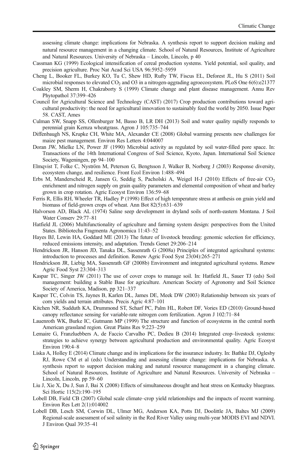<span id="page-10-0"></span>assessing climate change: implications for Nebraska. A synthesis report to support decision making and natural resource management in a changing climate. School of Natural Resources, Institute of Agriculture and Natural Resources. University of Nebraska – Lincoln, Lincoln, p 40

- Cassman KG (1999) Ecological intensification of cereal production systems. Yield potential, soil quality, and precision agriculture. Proc Nat Acad Sci USA 96:5952–5959
- Cheng L, Booker FL, Burkey KO, Tu C, Shew HD, Rufty TW, Fiscus EL, Deforest JL, Hu S (2011) Soil microbial responses to elevated  $CO<sub>2</sub>$  and O3 in a nitrogen-aggrading agroecosystem. PLoS One  $6(6)$ :e21377
- Coakley SM, Sherm H, Chakraborty S (1999) Climate change and plant disease management. Annu Rev Phytopathol 37:399–426
- Council for Agricultural Science and Technology (CAST) (2017) Crop production contributions toward agricultural productivity: the need for agricultural innovation to sustainably feed the world by 2050. Issue Paper 58. CAST, Ames
- Culman SW, Snapp SS, Ollenburger M, Basso B, LR DH (2013) Soil and water quality rapidly responds to perennial grain Kernza wheatgrass. Agron J 105:735–744
- Diffenbaugh NS, Krupke CH, White MA, Alexander CE (2008) Global warming presents new challenges for maize pest management. Environ Res Letters 4:044007
- Doran JW, Mielke LN, Power JF (1990) Microbial activity as regulated by soil water-filled pore space. In: Transactions of the 14th International Congress of Soil Science, Kyoto, Japan. International Soil Science Society, Wageningen, pp 94–100
- Elmqvist T, Folke C, Nyström M, Peterson G, Bengtsson J, Walker B, Norberg J (2003) Response diversity, ecosystem change, and resilience. Front Ecol Environ 1:488–494
- Erbs M, Manderscheid R, Jansen G, Seddig S, Pacholski A, Weigel H-J (2010) Effects of free-air  $CO<sub>2</sub>$ enrichment and nitrogen supply on grain quality parameters and elemental composition of wheat and barley grown in crop rotation. Agric Ecosyst Environ 136:59–68
- Ferris R, Ellis RH, Wheeler TR, Hadley P (1998) Effect of high temperature stress at anthesis on grain yield and biomass of field-grown crops of wheat. Ann Bot 82(5):631–639
- Halvorson AD, Black AL (1974) Saline seep development in dryland soils of north-eastern Montana. J Soil Water Conserv 29:77–81
- Hatfield JL (2006) Multifunctionality of agriculture and farming system design: perspectives from the United States. Bibliotecha Fragmenta Agronomica 11:43–52
- Hayes BJ, Lewin HA, Goddard ME (2013) The future of livestock breeding: genomic selection for efficiency, reduced emissions intensity, and adaptation. Trends Genet 29:206–214
- Hendrickson JR, Hanson JD, Tanaka DL, Sassenrath G (2008a) Principles of integrated agricultural systems: introduction to processes and definition. Renew Agric Food Syst 23(04):265–271
- Hendrickson JR, Liebig MA, Sassenrath GF (2008b) Environment and integrated agricultural systems. Renew Agric Food Syst 23:304–313
- Kaspar TC, Singer JW (2011) The use of cover crops to manage soil. In: Hatfield JL, Sauer TJ (eds) Soil management: building a Stable Base for agriculture. American Society of Agronomy and Soil Science Society of America, Madison, pp 321–337
- Kasper TC, Colvin TS, Jaynes B, Karlen DL, James DE, Meek DW (2003) Relationship between six years of corn yields and terrain attributes. Precis Agric 4:87–101
- Kitchen NR, Sudduth KA, Drummond ST, Scharf PC, Palm HL, Robert DF, Vories ED (2010) Ground-based canopy reflectance sensing for variable-rate nitrogen corn fertilization. Agron J 102:71–84
- Lauenroth WK, Burke IC, Gutmann MP (1999) The structure and function of ecosystems in the central north American grassland region. Great Plains Res 9:223–259
- Lemaire G, Franzluebbers A, de Faccio Carvalho PC, Dedieu B (2014) Integrated crop–livestock systems: strategies to achieve synergy between agricultural production and environmental quality. Agric Ecosyst Environ 190:4–8
- Liska A, Holley E (2014) Climate change and its implications for the insurance industry. In: Bathke DJ, Oglesby RJ, Rowe CM et al (eds) Understanding and assessing climate change: implications for Nebraska. A synthesis report to support decision making and natural resource management in a changing climate. School of Natural Resources, Institute of Agriculture and Natural Resources. University of Nebraska – Lincoln, Lincoln, pp 59–60
- Liu J, Xie X, Du J, Sun J, Bai X (2008) Effects of simultaneous drought and heat stress on Kentucky bluegrass. Sci Hortic 115(2):190–195
- Lobell DB, Field CB (2007) Global scale climate–crop yield relationships and the impacts of recent warming. Environ Res Lett 2(1):014002
- Lobell DB, Lesch SM, Corwin DL, Ulmer MG, Anderson KA, Potts DJ, Doolittle JA, Baltes MJ (2009) Regional-scale assessment of soil salinity in the Red River Valley using multi-year MODIS EVI and NDVI. J Environ Qual 39:35–41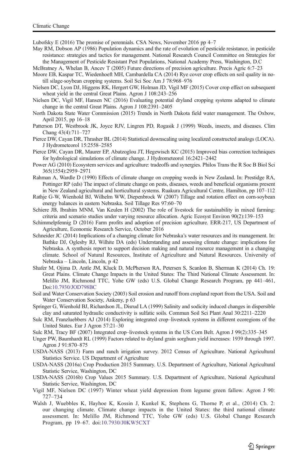<span id="page-11-0"></span>Lubofsky E (2016) The promise of perennials. CSA News, November 2016 pp 4–7

- May RM, Dobson AP (1986) Population dynamics and the rate of evolution of pesticide resistance, in pesticide resistance: strategies and tactics for management. National Research Council Committee on Strategies for the Management of Pesticide Resistant Pest Populations, National Academy Press, Washington, D.C
- McBratney A, Whelan B, Ancev T (2005) Future directions of precision agriculture. Precis Agric 6:7–23
- Moore EB, Kaspar TC, Wiedenhoeft MH, Cambardella CA (2014) Rye cover crop effects on soil quality in notill silage-soybean cropping systems. Soil Sci Soc Am J 78:968–976
- Nielsen DC, Lyon DJ, Higgens RK, Hergert GW, Holman JD, Vigil MF (2015) Cover crop effect on subsequent wheat yield in the central Great Plains. Agron J 108:243–256
- Nielsen DC, Vigil MF, Hansen NC (2016) Evaluating potential dryland cropping systems adapted to climate change in the central Great Plains. Agron J 108:2391–2405
- North Dakota State Water Commission (2015) Trends in North Dakota field water management. The Oxbow, April 2015, pp 16–18
- Patterson DT, Westbrook JK, Joyce RJV, Lingren PD, Rogasik J (1999) Weeds, insects, and diseases. Clim Chang 43(4):711–727
- Pierce DW, Cayan DR, Thrasher BL (2014) Statistical downscaling using localized constructed analogs (LOCA). J Hydrometeorol 15:2558–2585
- Pierce DW, Cayan DR, Maurer EP, Abatzoglou JT, Hegewisch KC (2015) Improved bias correction techniques for hydrological simulations of climate change. J Hydrometeorol 16:2421–2442
- Power AG (2010) Ecosystem services and agriculture: tradeoffs and synergies. Philos Trans the R Soc B Biol Sci 365(1554):2959–2971
- Rahman A, Wardle D (1990) Effects of climate change on cropping weeds in New Zealand. In: Prestidge RA, Pottinger RP (eds) The impact of climate change on pests, diseases, weeds and beneficial organisms present in New Zealand agricultural and horticultural systems. Ruakura Agricultural Centre, Hamilton, pp 107–112
- Rathje G-W, Wienhold BJ, Wilhelm WW, Diepenbrock W (2007) Tillage and rotation effect on corn-soybean energy balances in eastern Nebraska. Soil Tillage Res 97:60–70
- Schiere JB, Ibrahim MNM, Van Keulen H (2002) The role of livestock for sustainability in mixed farming: criteria and scenario studies under varying resource allocation. Agric Ecosyst Environ 90(2):139–153
- Schimmelpfennig D (2016) Farm profits and adoption of precision agriculture. ERR-217, US Department of Agriculture, Economic Research Service, October 2016
- Schneider JC (2014) Implications of a changing climate for Nebraska's water resources and its management. In: Bathke DJ, Oglesby RJ, Wilhite DA (eds) Understanding and assessing climate change: implications for Nebraska. A synthesis report to support decision making and natural resource management in a changing climate. School of Natural Resources, Institute of Agriculture and Natural Resources. University of Nebraska – Lincoln, Lincoln, p 42
- Shafer M, Ojima D, Antle JM, Kluck D, McPherson RA, Petersen S, Scanlon B, Sherman K (2014) Ch. 19: Great Plains. Climate Change Impacts in the United States: The Third National Climate Assessment. In: Melillo JM, Richmond TTC, Yohe GW (eds) U.S. Global Change Research Program, pp 441–461, Doi[:10.7930/JOD798BC](http://dx.doi.org/10.7930/JOD798BC)
- Soil and Water Conservation Society (2003) Soil erosion and runoff from cropland report from the USA. Soil and Water Conservation Society, Ankeny, p 63
- Springer G, Wienhold BJ, Richardson JL, Disrud LA (1999) Salinity and sodicity induced changes in dispersible clay and saturated hydraulic conductivity is sulfatic soils. Commun Soil Sci Plant Anal 30:2211–2220
- Sulc RM, Franzluebbers AJ (2014) Exploring integrated crop–livestock systems in different ecoregions of the United States. Eur J Agron 57:21–30
- Sulc RM, Tracy BF (2007) Integrated crop–livestock systems in the US Corn Belt. Agron J 99(2):335–345
- Unger PW, Baumhardt RL (1999) Factors related to dryland grain sorghum yield increases: 1939 through 1997. Agron J 91:870–875
- USDA-NASS (2013) Farm and ranch irrigation survey. 2012 Census of Agriculture. National Agricultural Statistics Service. US Department of Agriculture
- USDA-NASS (2016a) Crop Production 2015 Summary. U.S. Department of Agriculture, National Agricultural Statistic Service, Washington, DC
- USDA-NASS (2016b) Crop Values 2015 Summary. U.S. Department of Agriculture, National Agricultural Statistic Service, Washington, DC
- Vigil MF, Nielsen DC (1997) Winter wheat yield depression from legume green fallow. Agron J 90: 727–734
- Walsh J, Wuebbles K, Hayhoe K, Kossin J, Kunkel K, Stephens G, Thorne P, et al., (2014) Ch. 2: our changing climate. Climate change impacts in the United States: the third national climate assessment. In: Melillo JM, Richmond TTC, Yohe GW (eds) U.S. Global Change Research Program, pp 19–67. doi:[10.7930/J0KW5CXT](http://dx.doi.org/10.7930/J0KW5CXT)